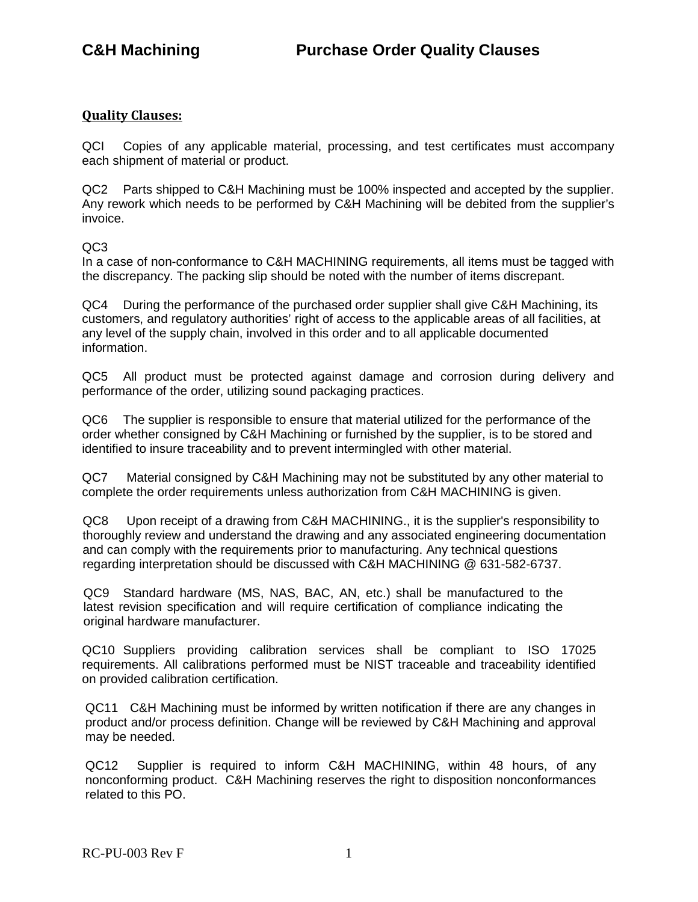## **Quality Clauses:**

QCI Copies of any applicable material, processing, and test certificates must accompany each shipment of material or product.

QC2 Parts shipped to C&H Machining must be 100% inspected and accepted by the supplier. Any rework which needs to be performed by C&H Machining will be debited from the supplier's invoice.

 $OC3$ 

In a case of non-conformance to C&H MACHINING requirements, all items must be tagged with the discrepancy. The packing slip should be noted with the number of items discrepant.

QC4 During the performance of the purchased order supplier shall give C&H Machining, its customers, and regulatory authorities' right of access to the applicable areas of all facilities, at any level of the supply chain, involved in this order and to all applicable documented information.

QC5 All product must be protected against damage and corrosion during delivery and performance of the order, utilizing sound packaging practices.

QC6 The supplier is responsible to ensure that material utilized for the performance of the order whether consigned by C&H Machining or furnished by the supplier, is to be stored and identified to insure traceability and to prevent intermingled with other material.

QC7 Material consigned by C&H Machining may not be substituted by any other material to complete the order requirements unless authorization from C&H MACHINING is given.

QC8 Upon receipt of a drawing from C&H MACHINING., it is the supplier's responsibility to thoroughly review and understand the drawing and any associated engineering documentation and can comply with the requirements prior to manufacturing. Any technical questions regarding interpretation should be discussed with C&H MACHINING @ 631-582-6737.

QC9 Standard hardware (MS, NAS, BAC, AN, etc.) shall be manufactured to the latest revision specification and will require certification of compliance indicating the original hardware manufacturer.

QC10 Suppliers providing calibration services shall be compliant to ISO 17025 requirements. All calibrations performed must be NIST traceable and traceability identified on provided calibration certification.

QC11 C&H Machining must be informed by written notification if there are any changes in product and/or process definition. Change will be reviewed by C&H Machining and approval may be needed.

QC12 Supplier is required to inform C&H MACHINING, within 48 hours, of any nonconforming product. C&H Machining reserves the right to disposition nonconformances related to this PO.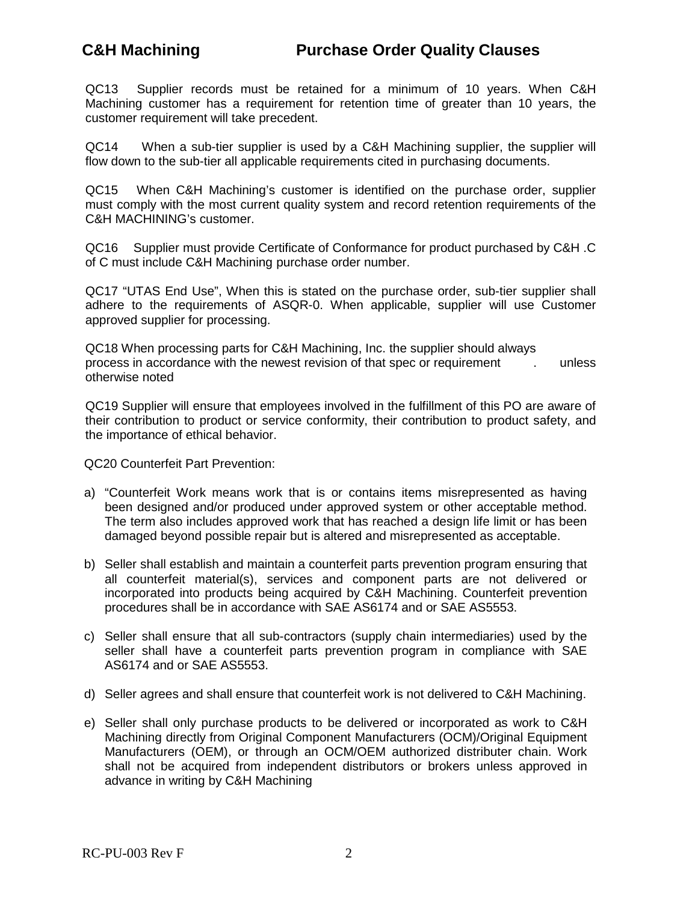QC13 Supplier records must be retained for a minimum of 10 years. When C&H Machining customer has a requirement for retention time of greater than 10 years, the customer requirement will take precedent.

QC14 When a sub-tier supplier is used by a C&H Machining supplier, the supplier will flow down to the sub-tier all applicable requirements cited in purchasing documents.

QC15 When C&H Machining's customer is identified on the purchase order, supplier must comply with the most current quality system and record retention requirements of the C&H MACHINING's customer.

QC16 Supplier must provide Certificate of Conformance for product purchased by C&H .C of C must include C&H Machining purchase order number.

QC17 "UTAS End Use", When this is stated on the purchase order, sub-tier supplier shall adhere to the requirements of ASQR-0. When applicable, supplier will use Customer approved supplier for processing.

QC18 When processing parts for C&H Machining, Inc. the supplier should always process in accordance with the newest revision of that spec or requirement . unless otherwise noted

QC19 Supplier will ensure that employees involved in the fulfillment of this PO are aware of their contribution to product or service conformity, their contribution to product safety, and the importance of ethical behavior.

QC20 Counterfeit Part Prevention:

- a) "Counterfeit Work means work that is or contains items misrepresented as having been designed and/or produced under approved system or other acceptable method. The term also includes approved work that has reached a design life limit or has been damaged beyond possible repair but is altered and misrepresented as acceptable.
- b) Seller shall establish and maintain a counterfeit parts prevention program ensuring that all counterfeit material(s), services and component parts are not delivered or incorporated into products being acquired by C&H Machining. Counterfeit prevention procedures shall be in accordance with SAE AS6174 and or SAE AS5553.
- c) Seller shall ensure that all sub-contractors (supply chain intermediaries) used by the seller shall have a counterfeit parts prevention program in compliance with SAE AS6174 and or SAE AS5553.
- d) Seller agrees and shall ensure that counterfeit work is not delivered to C&H Machining.
- e) Seller shall only purchase products to be delivered or incorporated as work to C&H Machining directly from Original Component Manufacturers (OCM)/Original Equipment Manufacturers (OEM), or through an OCM/OEM authorized distributer chain. Work shall not be acquired from independent distributors or brokers unless approved in advance in writing by C&H Machining